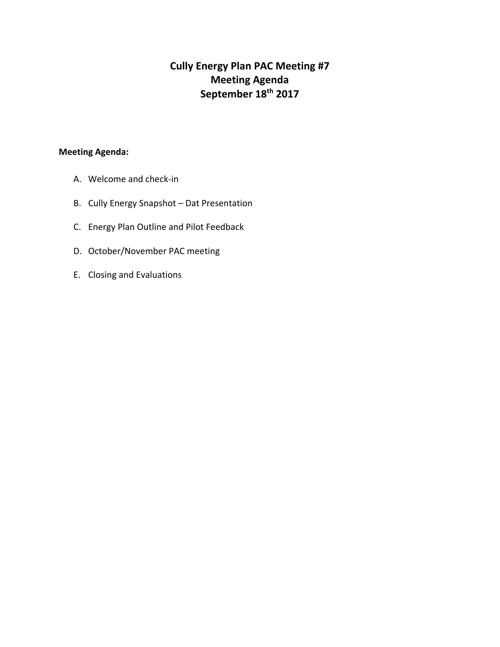# **Cully Energy Plan PAC Meeting #7 Meeting Agenda September 18th 2017**

# **Meeting Agenda:**

- A. Welcome and check-in
- B. Cully Energy Snapshot Dat Presentation
- C. Energy Plan Outline and Pilot Feedback
- D. October/November PAC meeting
- E. Closing and Evaluations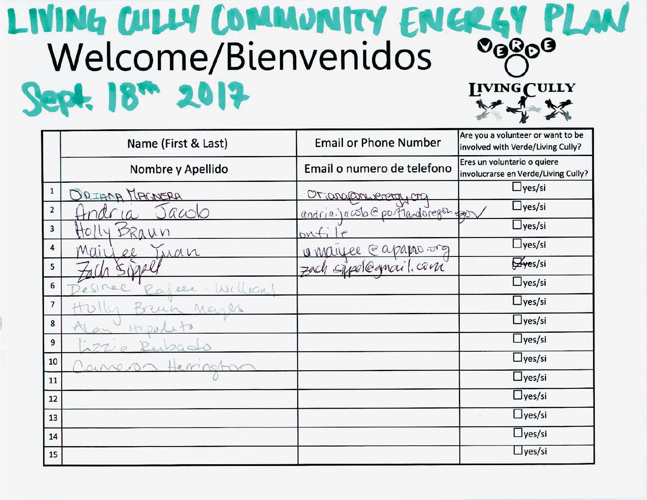# LIVING CULLY COMMUNITY ENCREY PLAN Welcome/Bienvenidos Sept. 18<sup>m</sup> 2017 INING CULLY

|                         | Name (First & Last)       | <b>Email or Phone Number</b>       | Are you a volunteer or want to be<br>involved with Verde/Living Cully? |
|-------------------------|---------------------------|------------------------------------|------------------------------------------------------------------------|
|                         | Nombre y Apellido         | Email o numero de telefono         | Eres un voluntario o quiere<br>involucrarse en Verde/Living Cully?     |
| $\mathbf{1}$            | ORIANA MAGNERA            | Orjanganismentaj on                | $\Box$ yes/si                                                          |
| $\overline{\mathbf{2}}$ | acolo                     | andria. jacob @ portlandoregon por | $\Box$ yes/si                                                          |
| 3                       | AUN                       | byt                                | $\Box$ yes/si                                                          |
| 4                       | Mai<br>iran               | @apapao.org<br>Ce Mariee           | $\Box$ yes/si                                                          |
| 5                       |                           | Spelegnail.com<br>70C              | Hyes/si                                                                |
| 6                       | $\circ$<br>Wellian<br>eer |                                    | $\Box$ yes/si                                                          |
| 7                       | Mein                      |                                    | $\Box$ yes/si                                                          |
| 8                       |                           |                                    | $\Box$ yes/si                                                          |
| 9                       |                           |                                    | $\Box$ yes/si                                                          |
| 10                      |                           |                                    | $\Box$ yes/si                                                          |
| 11                      |                           |                                    | $\Box$ yes/si                                                          |
| 12                      |                           |                                    | $\Box$ yes/si                                                          |
| 13                      |                           |                                    | $\Box$ yes/si                                                          |
| 14                      |                           |                                    | $\Box$ yes/si                                                          |
| 15                      |                           |                                    | $\Box$ yes/si                                                          |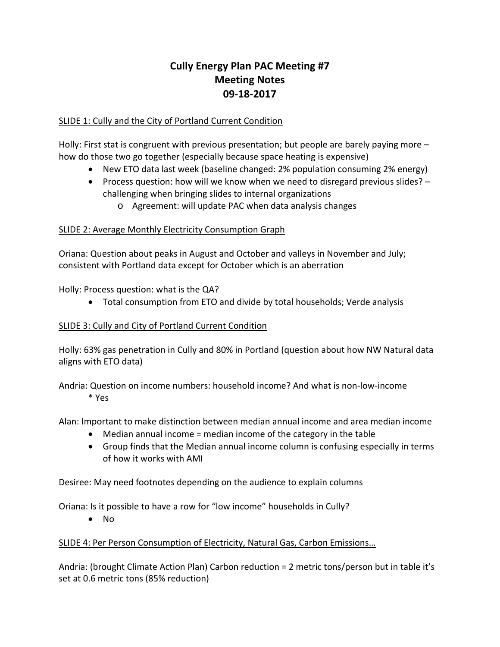# **Cully Energy Plan PAC Meeting #7 Meeting Notes 09-18-2017**

# SLIDE 1: Cully and the City of Portland Current Condition

Holly: First stat is congruent with previous presentation; but people are barely paying more – how do those two go together (especially because space heating is expensive)

- New ETO data last week (baseline changed: 2% population consuming 2% energy)
- Process question: how will we know when we need to disregard previous slides? challenging when bringing slides to internal organizations
	- o Agreement: will update PAC when data analysis changes

# SLIDE 2: Average Monthly Electricity Consumption Graph

Oriana: Question about peaks in August and October and valleys in November and July; consistent with Portland data except for October which is an aberration

Holly: Process question: what is the QA?

• Total consumption from ETO and divide by total households; Verde analysis

# SLIDE 3: Cully and City of Portland Current Condition

Holly: 63% gas penetration in Cully and 80% in Portland (question about how NW Natural data aligns with ETO data)

Andria: Question on income numbers: household income? And what is non-low-income \* Yes

Alan: Important to make distinction between median annual income and area median income

- Median annual income = median income of the category in the table
- Group finds that the Median annual income column is confusing especially in terms of how it works with AMI

Desiree: May need footnotes depending on the audience to explain columns

Oriana: Is it possible to have a row for "low income" households in Cully?

• No

# SLIDE 4: Per Person Consumption of Electricity, Natural Gas, Carbon Emissions…

Andria: (brought Climate Action Plan) Carbon reduction = 2 metric tons/person but in table it's set at 0.6 metric tons (85% reduction)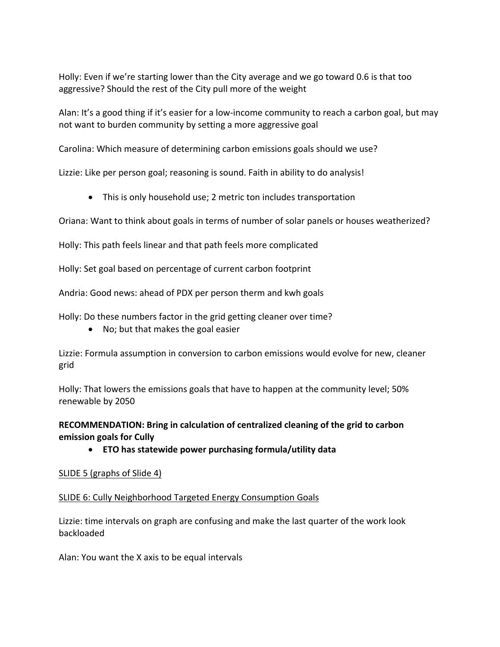Holly: Even if we're starting lower than the City average and we go toward 0.6 is that too aggressive? Should the rest of the City pull more of the weight

Alan: It's a good thing if it's easier for a low-income community to reach a carbon goal, but may not want to burden community by setting a more aggressive goal

Carolina: Which measure of determining carbon emissions goals should we use?

Lizzie: Like per person goal; reasoning is sound. Faith in ability to do analysis!

• This is only household use; 2 metric ton includes transportation

Oriana: Want to think about goals in terms of number of solar panels or houses weatherized?

Holly: This path feels linear and that path feels more complicated

Holly: Set goal based on percentage of current carbon footprint

Andria: Good news: ahead of PDX per person therm and kwh goals

Holly: Do these numbers factor in the grid getting cleaner over time?

• No; but that makes the goal easier

Lizzie: Formula assumption in conversion to carbon emissions would evolve for new, cleaner grid

Holly: That lowers the emissions goals that have to happen at the community level; 50% renewable by 2050

**RECOMMENDATION: Bring in calculation of centralized cleaning of the grid to carbon emission goals for Cully**

• **ETO has statewide power purchasing formula/utility data**

#### SLIDE 5 (graphs of Slide 4)

#### SLIDE 6: Cully Neighborhood Targeted Energy Consumption Goals

Lizzie: time intervals on graph are confusing and make the last quarter of the work look backloaded

Alan: You want the X axis to be equal intervals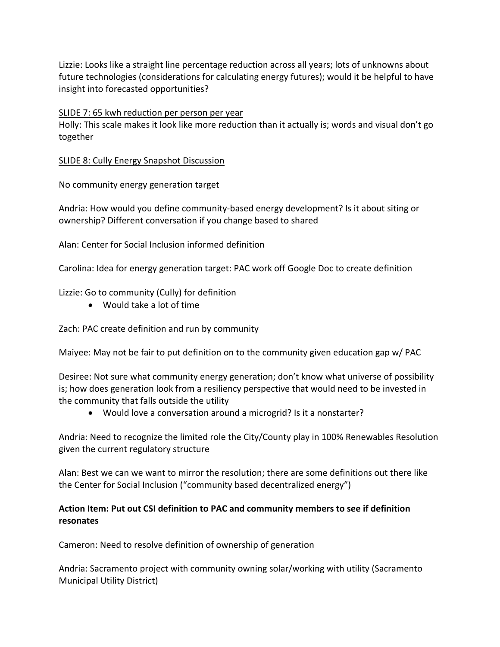Lizzie: Looks like a straight line percentage reduction across all years; lots of unknowns about future technologies (considerations for calculating energy futures); would it be helpful to have insight into forecasted opportunities?

#### SLIDE 7: 65 kwh reduction per person per year

Holly: This scale makes it look like more reduction than it actually is; words and visual don't go together

#### SLIDE 8: Cully Energy Snapshot Discussion

No community energy generation target

Andria: How would you define community-based energy development? Is it about siting or ownership? Different conversation if you change based to shared

Alan: Center for Social Inclusion informed definition

Carolina: Idea for energy generation target: PAC work off Google Doc to create definition

Lizzie: Go to community (Cully) for definition

• Would take a lot of time

Zach: PAC create definition and run by community

Maiyee: May not be fair to put definition on to the community given education gap w/ PAC

Desiree: Not sure what community energy generation; don't know what universe of possibility is; how does generation look from a resiliency perspective that would need to be invested in the community that falls outside the utility

• Would love a conversation around a microgrid? Is it a nonstarter?

Andria: Need to recognize the limited role the City/County play in 100% Renewables Resolution given the current regulatory structure

Alan: Best we can we want to mirror the resolution; there are some definitions out there like the Center for Social Inclusion ("community based decentralized energy")

# **Action Item: Put out CSI definition to PAC and community members to see if definition resonates**

Cameron: Need to resolve definition of ownership of generation

Andria: Sacramento project with community owning solar/working with utility (Sacramento Municipal Utility District)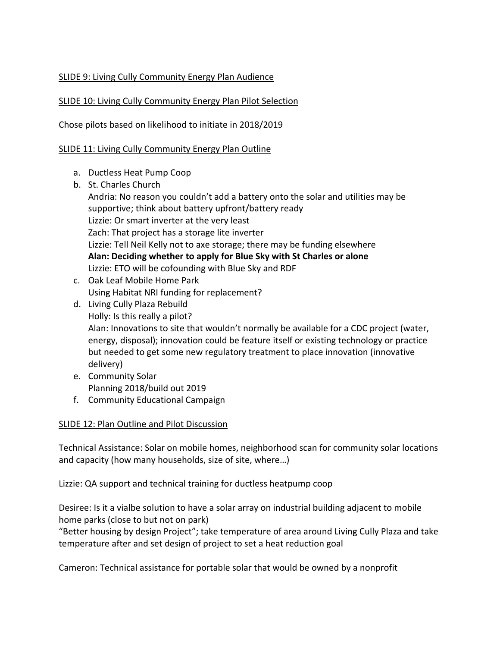# SLIDE 9: Living Cully Community Energy Plan Audience

# SLIDE 10: Living Cully Community Energy Plan Pilot Selection

Chose pilots based on likelihood to initiate in 2018/2019

### SLIDE 11: Living Cully Community Energy Plan Outline

- a. Ductless Heat Pump Coop
- b. St. Charles Church Andria: No reason you couldn't add a battery onto the solar and utilities may be supportive; think about battery upfront/battery ready Lizzie: Or smart inverter at the very least Zach: That project has a storage lite inverter Lizzie: Tell Neil Kelly not to axe storage; there may be funding elsewhere **Alan: Deciding whether to apply for Blue Sky with St Charles or alone** Lizzie: ETO will be cofounding with Blue Sky and RDF
- c. Oak Leaf Mobile Home Park Using Habitat NRI funding for replacement?
- d. Living Cully Plaza Rebuild Holly: Is this really a pilot? Alan: Innovations to site that wouldn't normally be available for a CDC project (water, energy, disposal); innovation could be feature itself or existing technology or practice but needed to get some new regulatory treatment to place innovation (innovative delivery)
- e. Community Solar Planning 2018/build out 2019
- f. Community Educational Campaign

# SLIDE 12: Plan Outline and Pilot Discussion

Technical Assistance: Solar on mobile homes, neighborhood scan for community solar locations and capacity (how many households, size of site, where…)

Lizzie: QA support and technical training for ductless heatpump coop

Desiree: Is it a vialbe solution to have a solar array on industrial building adjacent to mobile home parks (close to but not on park)

"Better housing by design Project"; take temperature of area around Living Cully Plaza and take temperature after and set design of project to set a heat reduction goal

Cameron: Technical assistance for portable solar that would be owned by a nonprofit